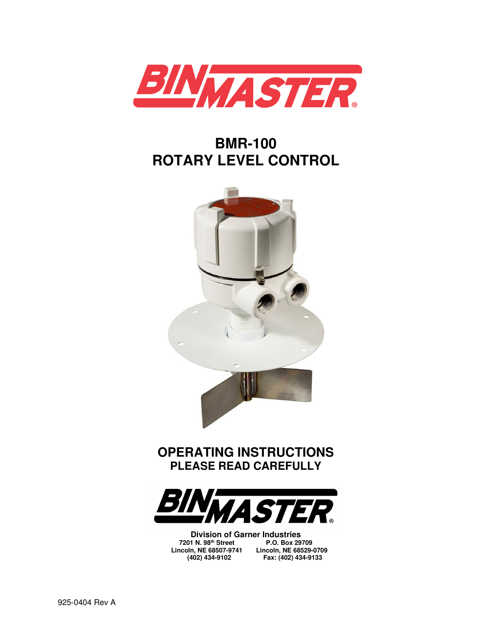

## **BMR-100 ROTARY LEVEL CONTROL**



### **OPERATING INSTRUCTIONS PLEASE READ CAREFULLY**



**Division of Garner Industries 7201 N. 98th Street P.O. Box 29709 Lincoln, NE 68507-9741 Lincoln, NE 68529-0709** 

 **(402) 434-9102 Fax: (402) 434-9133**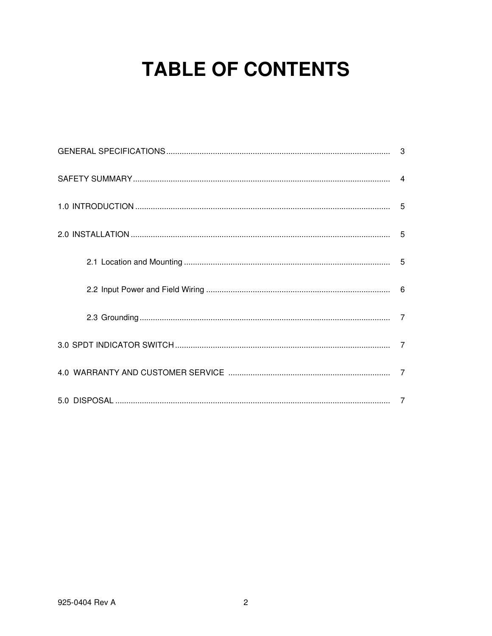## **TABLE OF CONTENTS**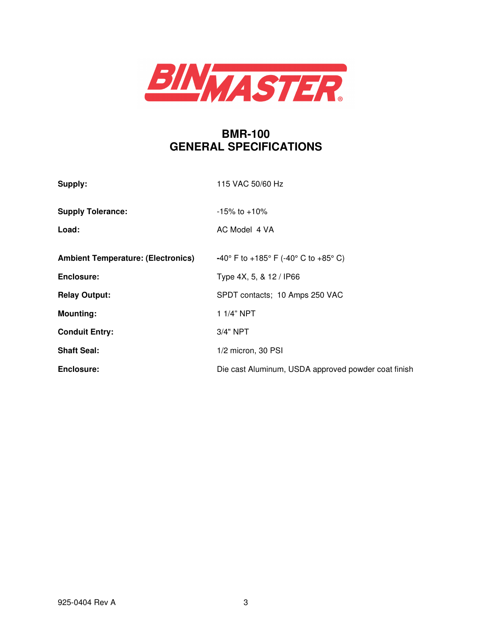

### **BMR-100 GENERAL SPECIFICATIONS**

| Supply:                                   | 115 VAC 50/60 Hz                                    |
|-------------------------------------------|-----------------------------------------------------|
| <b>Supply Tolerance:</b>                  | $-15\%$ to $+10\%$                                  |
| Load:                                     | AC Model 4 VA                                       |
| <b>Ambient Temperature: (Electronics)</b> | -40° F to +185° F (-40° C to +85° C)                |
| Enclosure:                                | Type 4X, 5, & 12 / IP66                             |
| <b>Relay Output:</b>                      | SPDT contacts; 10 Amps 250 VAC                      |
| <b>Mounting:</b>                          | $1.1/4"$ NPT                                        |
| <b>Conduit Entry:</b>                     | $3/4"$ NPT                                          |
| <b>Shaft Seal:</b>                        | 1/2 micron, 30 PSI                                  |
| Enclosure:                                | Die cast Aluminum, USDA approved powder coat finish |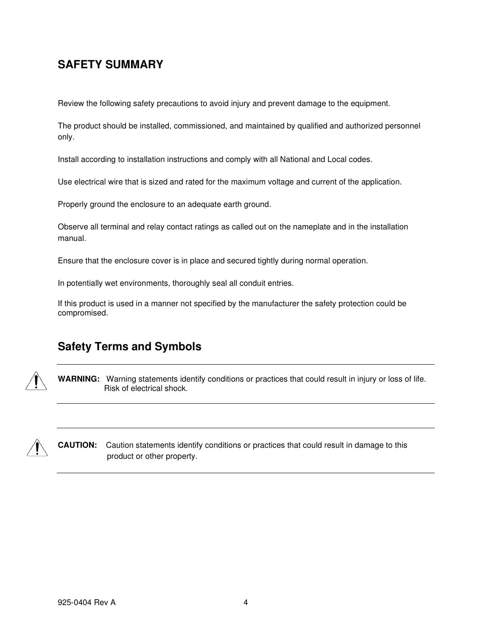#### **SAFETY SUMMARY**

Review the following safety precautions to avoid injury and prevent damage to the equipment.

The product should be installed, commissioned, and maintained by qualified and authorized personnel only.

Install according to installation instructions and comply with all National and Local codes.

Use electrical wire that is sized and rated for the maximum voltage and current of the application.

Properly ground the enclosure to an adequate earth ground.

Observe all terminal and relay contact ratings as called out on the nameplate and in the installation manual.

Ensure that the enclosure cover is in place and secured tightly during normal operation.

In potentially wet environments, thoroughly seal all conduit entries.

If this product is used in a manner not specified by the manufacturer the safety protection could be compromised.

#### **Safety Terms and Symbols**



**WARNING:** Warning statements identify conditions or practices that could result in injury or loss of life. Risk of electrical shock.



**CAUTION:** Caution statements identify conditions or practices that could result in damage to this product or other property.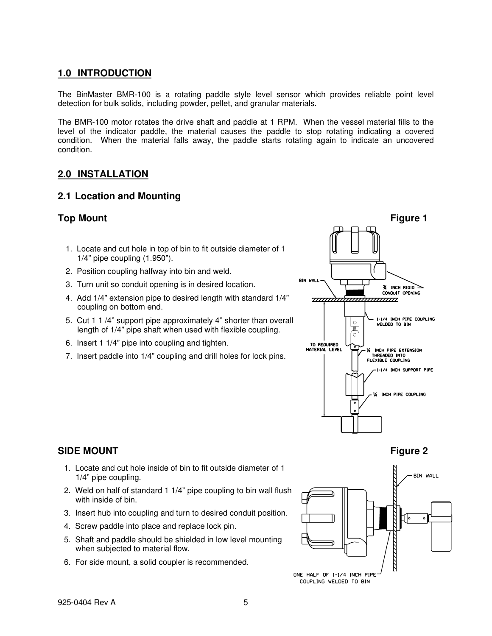#### **1.0 INTRODUCTION**

The BinMaster BMR-100 is a rotating paddle style level sensor which provides reliable point level detection for bulk solids, including powder, pellet, and granular materials.

The BMR-100 motor rotates the drive shaft and paddle at 1 RPM. When the vessel material fills to the level of the indicator paddle, the material causes the paddle to stop rotating indicating a covered condition. When the material falls away, the paddle starts rotating again to indicate an uncovered condition.

#### **2.0 INSTALLATION**

#### **2.1 Location and Mounting**

- 1. Locate and cut hole in top of bin to fit outside diameter of 1 1/4" pipe coupling (1.950").
- 2. Position coupling halfway into bin and weld.
- 3. Turn unit so conduit opening is in desired location.
- 4. Add 1/4" extension pipe to desired length with standard 1/4" coupling on bottom end.
- 5. Cut 1 1 /4" support pipe approximately 4" shorter than overall length of 1/4" pipe shaft when used with flexible coupling.
- 6. Insert 1 1/4" pipe into coupling and tighten.
- 7. Insert paddle into 1/4" coupling and drill holes for lock pins.



#### **SIDE MOUNT** Figure 2

- 1. Locate and cut hole inside of bin to fit outside diameter of 1 1/4" pipe coupling.
- 2. Weld on half of standard 1 1/4" pipe coupling to bin wall flush with inside of bin.
- 3. Insert hub into coupling and turn to desired conduit position.
- 4. Screw paddle into place and replace lock pin.
- 5. Shaft and paddle should be shielded in low level mounting when subjected to material flow.
- 6. For side mount, a solid coupler is recommended.

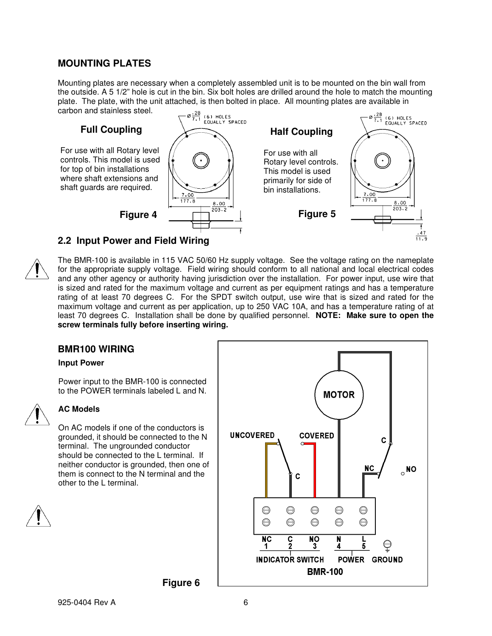#### **MOUNTING PLATES**

Mounting plates are necessary when a completely assembled unit is to be mounted on the bin wall from the outside. A 5 1/2" hole is cut in the bin. Six bolt holes are drilled around the hole to match the mounting plate. The plate, with the unit attached, is then bolted in place. All mounting plates are available in carbon and stainless steel.





The BMR-100 is available in 115 VAC 50/60 Hz supply voltage. See the voltage rating on the nameplate for the appropriate supply voltage. Field wiring should conform to all national and local electrical codes and any other agency or authority having jurisdiction over the installation. For power input, use wire that is sized and rated for the maximum voltage and current as per equipment ratings and has a temperature rating of at least 70 degrees C. For the SPDT switch output, use wire that is sized and rated for the maximum voltage and current as per application, up to 250 VAC 10A, and has a temperature rating of at least 70 degrees C. Installation shall be done by qualified personnel. **NOTE: Make sure to open the screw terminals fully before inserting wiring.**

#### **BMR100 WIRING**

#### **Input Power**

Power input to the BMR-100 is connected to the POWER terminals labeled L and N.



#### **AC Models**

On AC models if one of the conductors is grounded, it should be connected to the N terminal. The ungrounded conductor should be connected to the L terminal. If neither conductor is grounded, then one of them is connect to the N terminal and the other to the L terminal.





**Figure 6**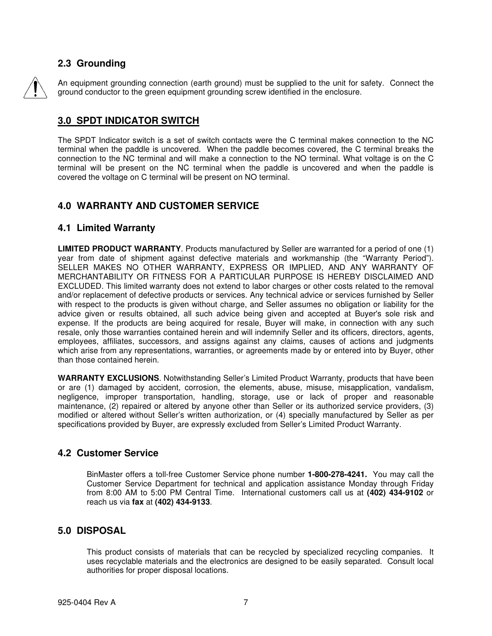#### **2.3 Grounding**

An equipment grounding connection (earth ground) must be supplied to the unit for safety. Connect the ground conductor to the green equipment grounding screw identified in the enclosure.

#### **3.0 SPDT INDICATOR SWITCH**

The SPDT Indicator switch is a set of switch contacts were the C terminal makes connection to the NC terminal when the paddle is uncovered. When the paddle becomes covered, the C terminal breaks the connection to the NC terminal and will make a connection to the NO terminal. What voltage is on the C terminal will be present on the NC terminal when the paddle is uncovered and when the paddle is covered the voltage on C terminal will be present on NO terminal.

#### **4.0 WARRANTY AND CUSTOMER SERVICE**

#### **4.1 Limited Warranty**

**LIMITED PRODUCT WARRANTY**. Products manufactured by Seller are warranted for a period of one (1) year from date of shipment against defective materials and workmanship (the "Warranty Period"). SELLER MAKES NO OTHER WARRANTY, EXPRESS OR IMPLIED, AND ANY WARRANTY OF MERCHANTABILITY OR FITNESS FOR A PARTICULAR PURPOSE IS HEREBY DISCLAIMED AND EXCLUDED. This limited warranty does not extend to labor charges or other costs related to the removal and/or replacement of defective products or services. Any technical advice or services furnished by Seller with respect to the products is given without charge, and Seller assumes no obligation or liability for the advice given or results obtained, all such advice being given and accepted at Buyer's sole risk and expense. If the products are being acquired for resale, Buyer will make, in connection with any such resale, only those warranties contained herein and will indemnify Seller and its officers, directors, agents, employees, affiliates, successors, and assigns against any claims, causes of actions and judgments which arise from any representations, warranties, or agreements made by or entered into by Buyer, other than those contained herein.

**WARRANTY EXCLUSIONS**. Notwithstanding Seller's Limited Product Warranty, products that have been or are (1) damaged by accident, corrosion, the elements, abuse, misuse, misapplication, vandalism, negligence, improper transportation, handling, storage, use or lack of proper and reasonable maintenance, (2) repaired or altered by anyone other than Seller or its authorized service providers, (3) modified or altered without Seller's written authorization, or (4) specially manufactured by Seller as per specifications provided by Buyer, are expressly excluded from Seller's Limited Product Warranty.

#### **4.2 Customer Service**

BinMaster offers a toll-free Customer Service phone number **1-800-278-4241.** You may call the Customer Service Department for technical and application assistance Monday through Friday from 8:00 AM to 5:00 PM Central Time. International customers call us at **(402) 434-9102** or reach us via **fax** at **(402) 434-9133**.

#### **5.0 DISPOSAL**

This product consists of materials that can be recycled by specialized recycling companies. It uses recyclable materials and the electronics are designed to be easily separated. Consult local authorities for proper disposal locations.